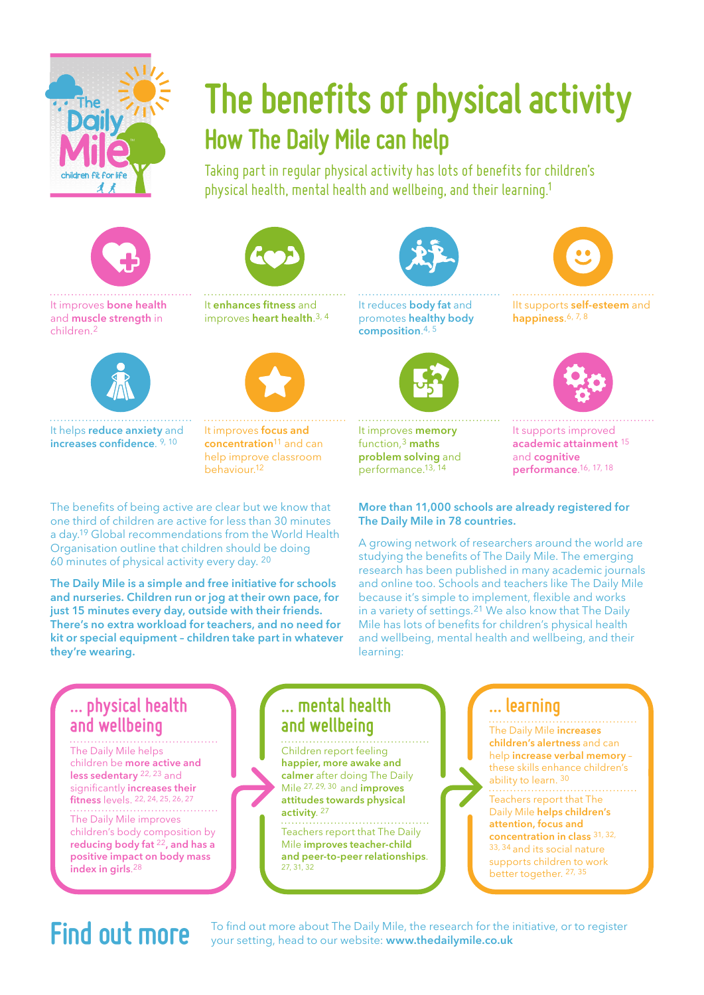

# **The benefits of physical activity How The Daily Mile can help**

Taking part in regular physical activity has lots of benefits for children's physical health, mental health and wellbeing, and their learning.1









It helps **reduce anxiety** and **increases confidence**. 9, 10

It **enhances fitness** and improves **heart health**.3, 4



It improves **focus and concentration**11 and can help improve classroom behaviour.12

The benefits of being active are clear but we know that one third of children are active for less than 30 minutes a day.19 Global recommendations from the World Health Organisation outline that children should be doing 60 minutes of physical activity every day. 20

**The Daily Mile is a simple and free initiative for schools and nurseries. Children run or jog at their own pace, for just 15 minutes every day, outside with their friends. There's no extra workload for teachers, and no need for kit or special equipment – children take part in whatever they're wearing.**





It improves **memory** function,<sup>3</sup> **maths problem solving** and performance.13, 14



IIt supports **self-esteem** and **happiness**.6, 7, 8



It supports improved **academic attainment** <sup>15</sup> and **cognitive performance**. 16, 17, 18

#### **More than 11,000 schools are already registered for The Daily Mile in 78 countries.**

A growing network of researchers around the world are studying the benefits of The Daily Mile. The emerging research has been published in many academic journals and online too. Schools and teachers like The Daily Mile because it's simple to implement, flexible and works in a variety of settings.21 We also know that The Daily Mile has lots of benefits for children's physical health and wellbeing, mental health and wellbeing, and their learning:

### **… physical health and wellbeing**

The Daily Mile helps children be **more active and less sedentary** 22, 23 and significantly **increases their fitness** levels. 22, 24, 25, 26, 27 The Daily Mile improves children's body composition by **reducing body fat** <sup>22</sup>**, and has a positive impact on body mass index in girls**.28

#### **… mental health and wellbeing**

Children report feeling **happier, more awake and calmer** after doing The Daily Mile 27, 29, 30 and **improves attitudes towards physical activity**. 27

Teachers report that The Daily Mile **improves teacher-child and peer-to-peer relationships**. 27, 31, 32

### **… learning**

The Daily Mile **increases children's alertness** and can help **increase verbal memory** – these skills enhance children's ability to learn. 30 Teachers report that The Daily Mile **helps children's attention, focus and concentration in class** 31, 32, 33, 34 and its social nature supports children to work better together. 27, 35

**Find out more** To find out more about The Daily Mile, the research for the initiative, or to register view of the initiative of the initiative of the search for the initiative, or to register your setting, head to our website: **www.thedailymile.co.uk**